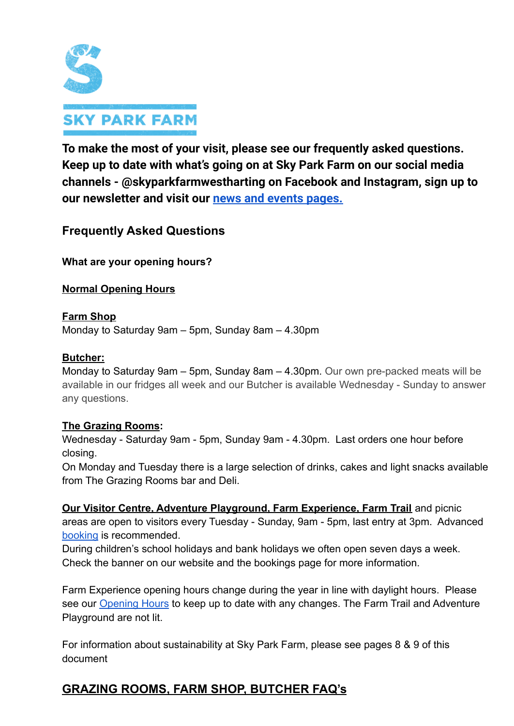

**To make the most of your visit, please see our frequently asked questions. Keep up to date with what's going on at Sky Park Farm on our social media channels - @skyparkfarmwestharting on Facebook and Instagram, sign up to our newsletter and visit our news and events [pages.](https://www.skyparkfarm.com/index.php/whats-on/)**

# **Frequently Asked Questions**

**What are your opening hours?**

**Normal Opening Hours**

**Farm Shop** Monday to Saturday 9am – 5pm, Sunday 8am – 4.30pm

# **Butcher:**

Monday to Saturday 9am – 5pm, Sunday 8am – 4.30pm. Our own pre-packed meats will be available in our fridges all week and our Butcher is available Wednesday - Sunday to answer any questions.

# **The Grazing Rooms:**

Wednesday - Saturday 9am - 5pm, Sunday 9am - 4.30pm. Last orders one hour before closing.

On Monday and Tuesday there is a large selection of drinks, cakes and light snacks available from The Grazing Rooms bar and Deli.

**Our Visitor Centre, Adventure Playground, Farm Experience, Farm Trail** and picnic areas are open to visitors every Tuesday - Sunday, 9am - 5pm, last entry at 3pm. Advanced [booking](https://www.skyparkfarm.com/index.php/ticket-bookings/) is recommended.

During children's school holidays and bank holidays we often open seven days a week. Check the banner on our website and the bookings page for more information.

Farm Experience opening hours change during the year in line with daylight hours. Please see our **[Opening Hours](https://www.skyparkfarm.com/index.php/visit-us/#opening-hours)** to keep up to date with any changes. The Farm Trail and Adventure Playground are not lit.

For information about sustainability at Sky Park Farm, please see pages 8 & 9 of this document

# **GRAZING ROOMS, FARM SHOP, BUTCHER FAQ's**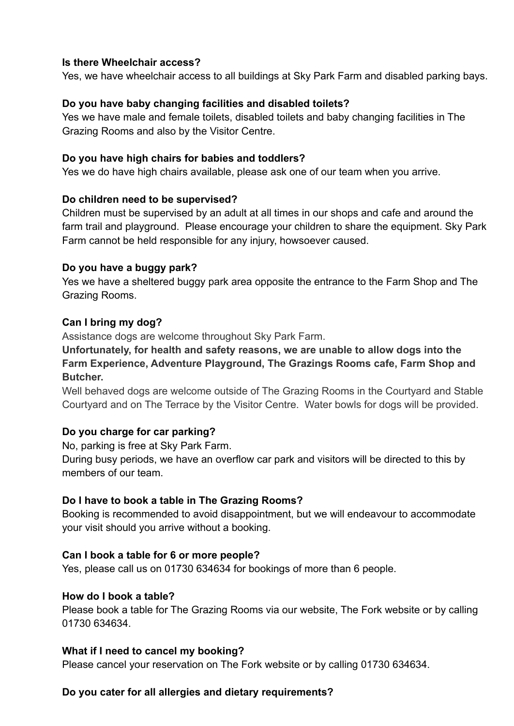#### **Is there Wheelchair access?**

Yes, we have wheelchair access to all buildings at Sky Park Farm and disabled parking bays.

### **Do you have baby changing facilities and disabled toilets?**

Yes we have male and female toilets, disabled toilets and baby changing facilities in The Grazing Rooms and also by the Visitor Centre.

#### **Do you have high chairs for babies and toddlers?**

Yes we do have high chairs available, please ask one of our team when you arrive.

#### **Do children need to be supervised?**

Children must be supervised by an adult at all times in our shops and cafe and around the farm trail and playground. Please encourage your children to share the equipment. Sky Park Farm cannot be held responsible for any injury, howsoever caused.

#### **Do you have a buggy park?**

Yes we have a sheltered buggy park area opposite the entrance to the Farm Shop and The Grazing Rooms.

#### **Can I bring my dog?**

Assistance dogs are welcome throughout Sky Park Farm.

# **Unfortunately, for health and safety reasons, we are unable to allow dogs into the Farm Experience, Adventure Playground, The Grazings Rooms cafe, Farm Shop and Butcher.**

Well behaved dogs are welcome outside of The Grazing Rooms in the Courtyard and Stable Courtyard and on The Terrace by the Visitor Centre. Water bowls for dogs will be provided.

# **Do you charge for car parking?**

No, parking is free at Sky Park Farm.

During busy periods, we have an overflow car park and visitors will be directed to this by members of our team.

# **Do I have to book a table in The Grazing Rooms?**

Booking is recommended to avoid disappointment, but we will endeavour to accommodate your visit should you arrive without a booking.

#### **Can I book a table for 6 or more people?**

Yes, please call us on 01730 634634 for bookings of more than 6 people.

#### **How do I book a table?**

Please book a table for The Grazing Rooms via our website, The Fork website or by calling 01730 634634.

#### **What if I need to cancel my booking?**

Please cancel your reservation on The Fork website or by calling 01730 634634.

# **Do you cater for all allergies and dietary requirements?**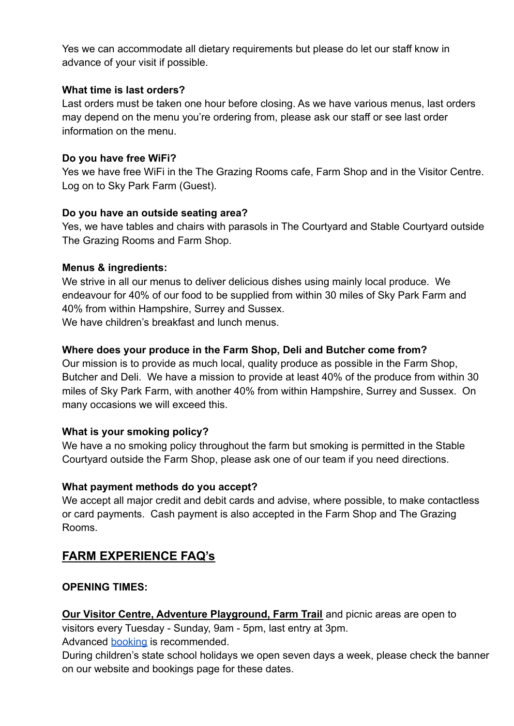Yes we can accommodate all dietary requirements but please do let our staff know in advance of your visit if possible.

# **What time is last orders?**

Last orders must be taken one hour before closing. As we have various menus, last orders may depend on the menu you're ordering from, please ask our staff or see last order information on the menu.

# **Do you have free WiFi?**

Yes we have free WiFi in the The Grazing Rooms cafe, Farm Shop and in the Visitor Centre. Log on to Sky Park Farm (Guest).

# **Do you have an outside seating area?**

Yes, we have tables and chairs with parasols in The Courtyard and Stable Courtyard outside The Grazing Rooms and Farm Shop.

# **Menus & ingredients:**

We strive in all our menus to deliver delicious dishes using mainly local produce. We endeavour for 40% of our food to be supplied from within 30 miles of Sky Park Farm and 40% from within Hampshire, Surrey and Sussex. We have children's breakfast and lunch menus.

# **Where does your produce in the Farm Shop, Deli and Butcher come from?**

Our mission is to provide as much local, quality produce as possible in the Farm Shop, Butcher and Deli. We have a mission to provide at least 40% of the produce from within 30 miles of Sky Park Farm, with another 40% from within Hampshire, Surrey and Sussex. On many occasions we will exceed this.

# **What is your smoking policy?**

We have a no smoking policy throughout the farm but smoking is permitted in the Stable Courtyard outside the Farm Shop, please ask one of our team if you need directions.

# **What payment methods do you accept?**

We accept all major credit and debit cards and advise, where possible, to make contactless or card payments. Cash payment is also accepted in the Farm Shop and The Grazing Rooms.

# **FARM EXPERIENCE FAQ's**

# **OPENING TIMES:**

**Our Visitor Centre, Adventure Playground, Farm Trail** and picnic areas are open to visitors every Tuesday - Sunday, 9am - 5pm, last entry at 3pm.

Advanced **[booking](https://www.skyparkfarm.com/index.php/ticket-bookings/)** is recommended.

During children's state school holidays we open seven days a week, please check the banner on our website and bookings page for these dates.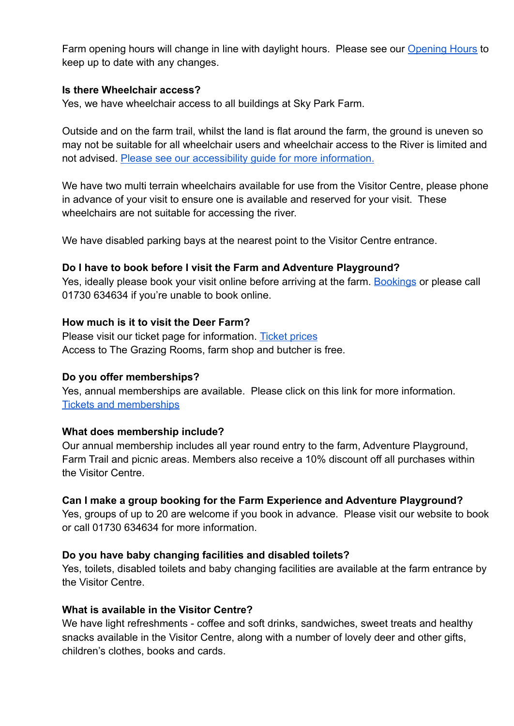Farm opening hours will change in line with daylight hours. Please see our [Opening Hours](https://www.skyparkfarm.com/index.php/visit-us/#opening-hours) to keep up to date with any changes.

#### **Is there Wheelchair access?**

Yes, we have wheelchair access to all buildings at Sky Park Farm.

Outside and on the farm trail, whilst the land is flat around the farm, the ground is uneven so may not be suitable for all wheelchair users and wheelchair access to the River is limited and not advised. [Please see our accessibility guide for](https://www.accessibilityguides.org/content/sky-park-farm) more information.

We have two multi terrain wheelchairs available for use from the Visitor Centre, please phone in advance of your visit to ensure one is available and reserved for your visit. These wheelchairs are not suitable for accessing the river.

We have disabled parking bays at the nearest point to the Visitor Centre entrance.

#### **Do I have to book before I visit the Farm and Adventure Playground?**

Yes, ideally please book your visit online before arriving at the farm. [Bookings](https://www.skyparkfarm.com/index.php/ticket-bookings/) or please call 01730 634634 if you're unable to book online.

#### **How much is it to visit the Deer Farm?**

Please visit our ticket page for information. Ticket [prices](https://www.skyparkfarm.com/index.php/visit-us/#tickets-passes) Access to The Grazing Rooms, farm shop and butcher is free.

#### **Do you offer memberships?**

Yes, annual memberships are available. Please click on this link for more information[.](https://www.skyparkfarm.com/index.php/visit-us/#tickets-passes) [Tickets and memberships](https://www.skyparkfarm.com/index.php/visit-us/#tickets-passes)

# **What does membership include?**

Our annual membership includes all year round entry to the farm, Adventure Playground, Farm Trail and picnic areas. Members also receive a 10% discount off all purchases within the Visitor Centre.

# **Can I make a group booking for the Farm Experience and Adventure Playground?**

Yes, groups of up to 20 are welcome if you book in advance. Please visit our website to book or call 01730 634634 for more information.

#### **Do you have baby changing facilities and disabled toilets?**

Yes, toilets, disabled toilets and baby changing facilities are available at the farm entrance by the Visitor Centre.

#### **What is available in the Visitor Centre?**

We have light refreshments - coffee and soft drinks, sandwiches, sweet treats and healthy snacks available in the Visitor Centre, along with a number of lovely deer and other gifts, children's clothes, books and cards.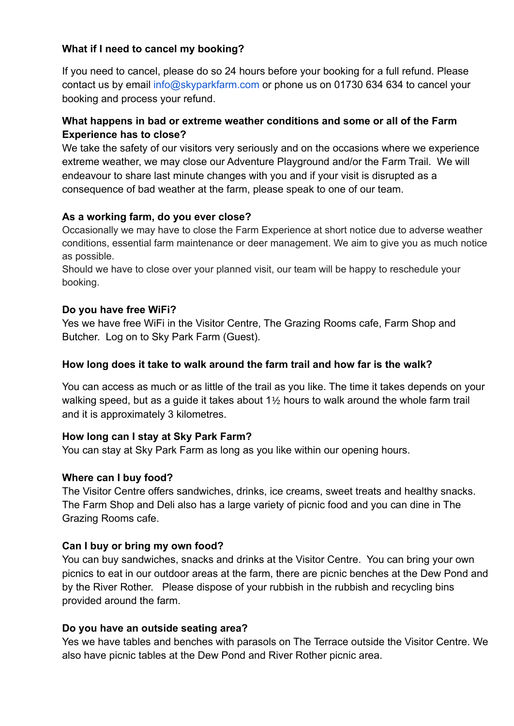# **What if I need to cancel my booking?**

If you need to cancel, please do so 24 hours before your booking for a full refund. Please contact us by email info@skyparkfarm.com or phone us on 01730 634 634 to cancel your booking and process your refund.

# **What happens in bad or extreme weather conditions and some or all of the Farm Experience has to close?**

We take the safety of our visitors very seriously and on the occasions where we experience extreme weather, we may close our Adventure Playground and/or the Farm Trail. We will endeavour to share last minute changes with you and if your visit is disrupted as a consequence of bad weather at the farm, please speak to one of our team.

# **As a working farm, do you ever close?**

Occasionally we may have to close the Farm Experience at short notice due to adverse weather conditions, essential farm maintenance or deer management. We aim to give you as much notice as possible.

Should we have to close over your planned visit, our team will be happy to reschedule your booking.

# **Do you have free WiFi?**

Yes we have free WiFi in the Visitor Centre, The Grazing Rooms cafe, Farm Shop and Butcher. Log on to Sky Park Farm (Guest).

# **How long does it take to walk around the farm trail and how far is the walk?**

You can access as much or as little of the trail as you like. The time it takes depends on your walking speed, but as a guide it takes about 1½ hours to walk around the whole farm trail and it is approximately 3 kilometres.

# **How long can I stay at Sky Park Farm?**

You can stay at Sky Park Farm as long as you like within our opening hours.

# **Where can I buy food?**

The Visitor Centre offers sandwiches, drinks, ice creams, sweet treats and healthy snacks. The Farm Shop and Deli also has a large variety of picnic food and you can dine in The Grazing Rooms cafe.

#### **Can I buy or bring my own food?**

You can buy sandwiches, snacks and drinks at the Visitor Centre. You can bring your own picnics to eat in our outdoor areas at the farm, there are picnic benches at the Dew Pond and by the River Rother. Please dispose of your rubbish in the rubbish and recycling bins provided around the farm.

#### **Do you have an outside seating area?**

Yes we have tables and benches with parasols on The Terrace outside the Visitor Centre. We also have picnic tables at the Dew Pond and River Rother picnic area.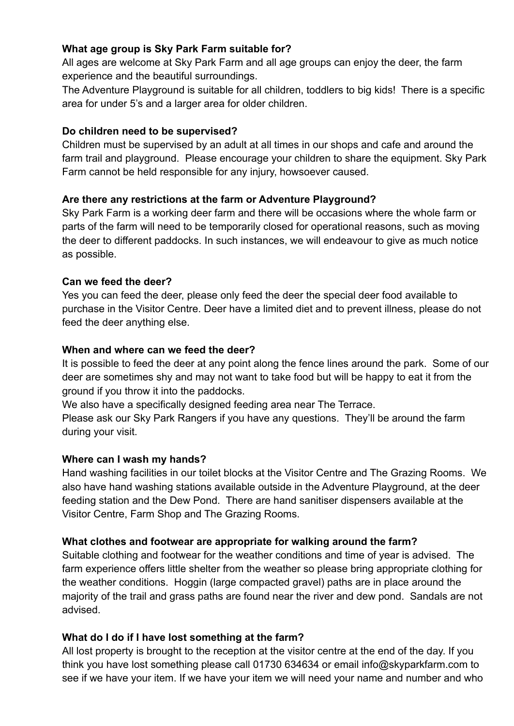# **What age group is Sky Park Farm suitable for?**

All ages are welcome at Sky Park Farm and all age groups can enjoy the deer, the farm experience and the beautiful surroundings.

The Adventure Playground is suitable for all children, toddlers to big kids! There is a specific area for under 5's and a larger area for older children.

# **Do children need to be supervised?**

Children must be supervised by an adult at all times in our shops and cafe and around the farm trail and playground. Please encourage your children to share the equipment. Sky Park Farm cannot be held responsible for any injury, howsoever caused.

# **Are there any restrictions at the farm or Adventure Playground?**

Sky Park Farm is a working deer farm and there will be occasions where the whole farm or parts of the farm will need to be temporarily closed for operational reasons, such as moving the deer to different paddocks. In such instances, we will endeavour to give as much notice as possible.

# **Can we feed the deer?**

Yes you can feed the deer, please only feed the deer the special deer food available to purchase in the Visitor Centre. Deer have a limited diet and to prevent illness, please do not feed the deer anything else.

# **When and where can we feed the deer?**

It is possible to feed the deer at any point along the fence lines around the park. Some of our deer are sometimes shy and may not want to take food but will be happy to eat it from the ground if you throw it into the paddocks.

We also have a specifically designed feeding area near The Terrace.

Please ask our Sky Park Rangers if you have any questions. They'll be around the farm during your visit.

# **Where can I wash my hands?**

Hand washing facilities in our toilet blocks at the Visitor Centre and The Grazing Rooms. We also have hand washing stations available outside in the Adventure Playground, at the deer feeding station and the Dew Pond. There are hand sanitiser dispensers available at the Visitor Centre, Farm Shop and The Grazing Rooms.

# **What clothes and footwear are appropriate for walking around the farm?**

Suitable clothing and footwear for the weather conditions and time of year is advised. The farm experience offers little shelter from the weather so please bring appropriate clothing for the weather conditions. Hoggin (large compacted gravel) paths are in place around the majority of the trail and grass paths are found near the river and dew pond. Sandals are not advised.

# **What do I do if I have lost something at the farm?**

All lost property is brought to the reception at the visitor centre at the end of the day. If you think you have lost something please call 01730 634634 or email info@skyparkfarm.com to see if we have your item. If we have your item we will need your name and number and who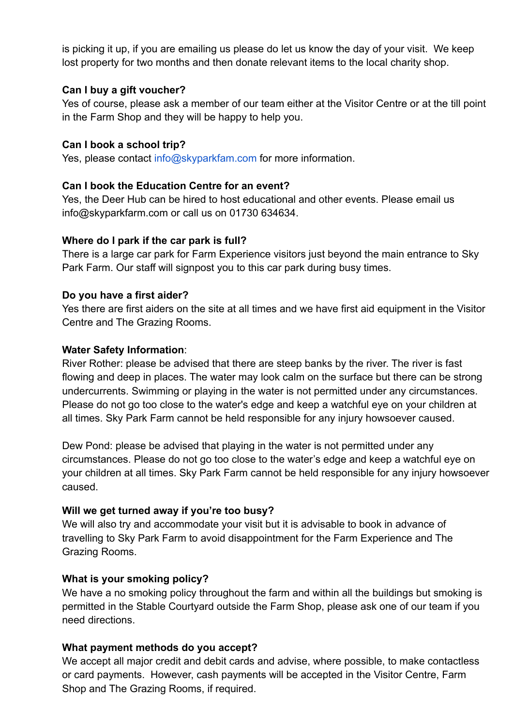is picking it up, if you are emailing us please do let us know the day of your visit. We keep lost property for two months and then donate relevant items to the local charity shop.

# **Can I buy a gift voucher?**

Yes of course, please ask a member of our team either at the Visitor Centre or at the till point in the Farm Shop and they will be happy to help you.

# **Can I book a school trip?**

Yes, please contact info@skyparkfam.com for more information.

# **Can I book the Education Centre for an event?**

Yes, the Deer Hub can be hired to host educational and other events. Please email us info@skyparkfarm.com or call us on 01730 634634.

# **Where do I park if the car park is full?**

There is a large car park for Farm Experience visitors just beyond the main entrance to Sky Park Farm. Our staff will signpost you to this car park during busy times.

# **Do you have a first aider?**

Yes there are first aiders on the site at all times and we have first aid equipment in the Visitor Centre and The Grazing Rooms.

# **Water Safety Information**:

River Rother: please be advised that there are steep banks by the river. The river is fast flowing and deep in places. The water may look calm on the surface but there can be strong undercurrents. Swimming or playing in the water is not permitted under any circumstances. Please do not go too close to the water's edge and keep a watchful eye on your children at all times. Sky Park Farm cannot be held responsible for any injury howsoever caused.

Dew Pond: please be advised that playing in the water is not permitted under any circumstances. Please do not go too close to the water's edge and keep a watchful eye on your children at all times. Sky Park Farm cannot be held responsible for any injury howsoever caused.

# **Will we get turned away if you're too busy?**

We will also try and accommodate your visit but it is advisable to book in advance of travelling to Sky Park Farm to avoid disappointment for the Farm Experience and The Grazing Rooms.

# **What is your smoking policy?**

We have a no smoking policy throughout the farm and within all the buildings but smoking is permitted in the Stable Courtyard outside the Farm Shop, please ask one of our team if you need directions.

# **What payment methods do you accept?**

We accept all major credit and debit cards and advise, where possible, to make contactless or card payments. However, cash payments will be accepted in the Visitor Centre, Farm Shop and The Grazing Rooms, if required.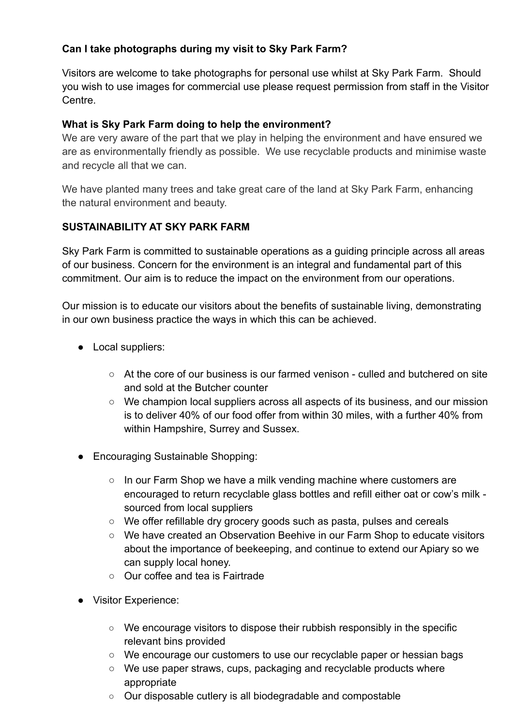# **Can I take photographs during my visit to Sky Park Farm?**

Visitors are welcome to take photographs for personal use whilst at Sky Park Farm. Should you wish to use images for commercial use please request permission from staff in the Visitor Centre.

# **What is Sky Park Farm doing to help the environment?**

We are very aware of the part that we play in helping the environment and have ensured we are as environmentally friendly as possible. We use recyclable products and minimise waste and recycle all that we can.

We have planted many trees and take great care of the land at Sky Park Farm, enhancing the natural environment and beauty.

# **SUSTAINABILITY AT SKY PARK FARM**

Sky Park Farm is committed to sustainable operations as a guiding principle across all areas of our business. Concern for the environment is an integral and fundamental part of this commitment. Our aim is to reduce the impact on the environment from our operations.

Our mission is to educate our visitors about the benefits of sustainable living, demonstrating in our own business practice the ways in which this can be achieved.

- Local suppliers:
	- At the core of our business is our farmed venison culled and butchered on site and sold at the Butcher counter
	- We champion local suppliers across all aspects of its business, and our mission is to deliver 40% of our food offer from within 30 miles, with a further 40% from within Hampshire, Surrey and Sussex.
- Encouraging Sustainable Shopping:
	- In our Farm Shop we have a milk vending machine where customers are encouraged to return recyclable glass bottles and refill either oat or cow's milk sourced from local suppliers
	- We offer refillable dry grocery goods such as pasta, pulses and cereals
	- We have created an Observation Beehive in our Farm Shop to educate visitors about the importance of beekeeping, and continue to extend our Apiary so we can supply local honey.
	- Our coffee and tea is Fairtrade
- Visitor Experience:
	- We encourage visitors to dispose their rubbish responsibly in the specific relevant bins provided
	- We encourage our customers to use our recyclable paper or hessian bags
	- We use paper straws, cups, packaging and recyclable products where appropriate
	- Our disposable cutlery is all biodegradable and compostable